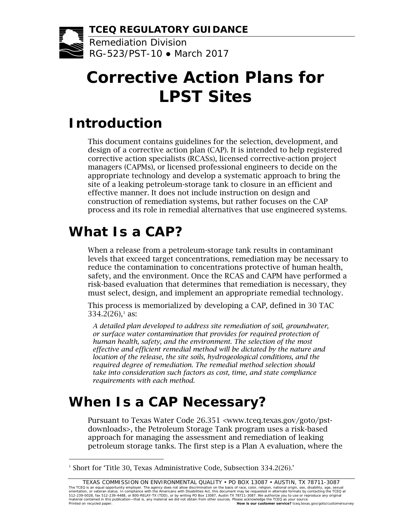**TCEQ REGULATORY GUIDANCE**

Remediation Division RG-523/PST-10 ● March 2017

# **Corrective Action Plans for LPST Sites**

### **Introduction**

This document contains guidelines for the selection, development, and design of a corrective action plan (CAP). It is intended to help registered corrective action specialists (RCASs), licensed corrective-action project managers (CAPMs), or licensed professional engineers to decide on the appropriate technology and develop a systematic approach to bring the site of a leaking petroleum-storage tank to closure in an efficient and effective manner. It does not include instruction on design and construction of remediation systems, but rather focuses on the CAP process and its role in remedial alternatives that use engineered systems.

## **What Is a CAP?**

l

When a release from a petroleum-storage tank results in contaminant levels that exceed target concentrations, remediation may be necessary to reduce the contamination to concentrations protective of human health, safety, and the environment. Once the RCAS and CAPM have performed a risk-based evaluation that determines that remediation is necessary, they must select, design, and implement an appropriate remedial technology.

This process is memorialized by developing a CAP, defined in 30 TAC  $334.2(26)$ ,<sup>[1](#page-0-0)</sup> as:

*A detailed plan developed to address site remediation of soil, groundwater, or surface water contamination that provides for required protection of human health, safety, and the environment. The selection of the most effective and efficient remedial method will be dictated by the nature and location of the release, the site soils, hydrogeological conditions, and the required degree of remediation. The remedial method selection should take into consideration such factors as cost, time, and state compliance requirements with each method.*

## **When Is a CAP Necessary?**

Pursuant to Texas Water Code 26.351 [<www.tceq.texas.gov/goto/pst](http://www.statutes.legis.state.tx.us/Docs/WA/htm/WA.26.htm#26.351)[downloads>,](http://www.statutes.legis.state.tx.us/Docs/WA/htm/WA.26.htm#26.351) the Petroleum Storage Tank program uses a risk-based approach for managing the assessment and remediation of leaking petroleum storage tanks. The first step is a Plan A evaluation, where the

<span id="page-0-0"></span><sup>&</sup>lt;sup>1</sup> Short for 'Title 30, Texas Administrative Code, Subsection 334.2(26).'

TEXAS COMMISSION ON ENVIRONMENTAL QUALITY • PO BOX 13087 • AUSTIN, TX 78711-3087 The TCEQ is an equal opportunity employer. The agency does not allow discrimination on the basis of race, color, religion, national origin, sex, disability, age, sexual<br>orientation, or veteran status. In compliance with th Printed on recycled paper. **How is our customer service?** tceq.texas.gov/goto/customersurvey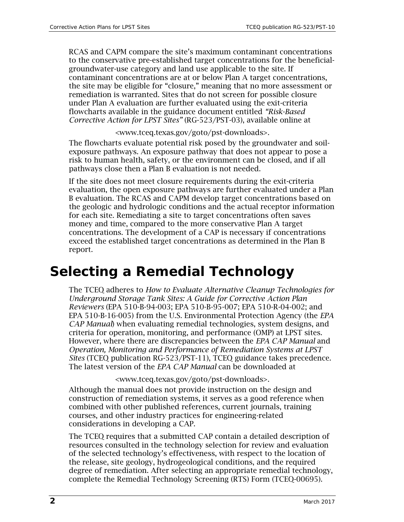RCAS and CAPM compare the site's maximum contaminant concentrations to the conservative pre-established target concentrations for the beneficialgroundwater-use category and land use applicable to the site. If contaminant concentrations are at or below Plan A target concentrations, the site may be eligible for "closure," meaning that no more assessment or remediation is warranted. Sites that do not screen for possible closure under Plan A evaluation are further evaluated using the exit-criteria flowcharts available in the guidance document entitled *"Risk-Based Corrective Action for LPST Sites"* (RG-523/PST-03), available online at

[<www.tceq.texas.gov/goto/pst-downloads>.](https://www.tceq.texas.gov/publications/rg/rg-523-pst-03)

The flowcharts evaluate potential risk posed by the groundwater and soilexposure pathways. An exposure pathway that does not appear to pose a risk to human health, safety, or the environment can be closed, and if all pathways close then a Plan B evaluation is not needed.

If the site does not meet closure requirements during the exit-criteria evaluation, the open exposure pathways are further evaluated under a Plan B evaluation. The RCAS and CAPM develop target concentrations based on the geologic and hydrologic conditions and the actual receptor information for each site. Remediating a site to target concentrations often saves money and time, compared to the more conservative Plan A target concentrations. The development of a CAP is necessary if concentrations exceed the established target concentrations as determined in the Plan B report.

### **Selecting a Remedial Technology**

The TCEQ adheres to *[How to Evaluate Alternative Cleanup Technologies](http://www2.epa.gov/ust/how-evaluate-alternative-cleanup-technologies-underground-storage-tank-sites-guide-corrective) for [Underground Storage Tank Sites: A Guide for Corrective Action Plan](http://www2.epa.gov/ust/how-evaluate-alternative-cleanup-technologies-underground-storage-tank-sites-guide-corrective)  Reviewers* [\(EPA 510-B-94-003; EPA 510-B-95-007; EPA 510-R-04-002; and](http://www2.epa.gov/ust/how-evaluate-alternative-cleanup-technologies-underground-storage-tank-sites-guide-corrective)  [EPA 510-B-16-005\) from the U.S. Environmental Protection Agency](http://www2.epa.gov/ust/how-evaluate-alternative-cleanup-technologies-underground-storage-tank-sites-guide-corrective) (the *EPA [CAP Manual](http://www2.epa.gov/ust/how-evaluate-alternative-cleanup-technologies-underground-storage-tank-sites-guide-corrective)*) when evaluating remedial technologies, system designs, and criteria for operation, monitoring, and performance (OMP) at LPST sites. However, where there are discrepancies between the *EPA CAP Manual* and *Operation, Monitoring and Performance of Remediation Systems at LPST Sites* (TCEQ publication RG-523/PST-11), TCEQ guidance takes precedence. The latest version of the *EPA CAP Manual* can be downloaded at

#### [<www.tceq.texas.gov/goto/pst-downloads>.](http://www.epa.gov/ust/how-evaluate-alternative-cleanup-technologies-underground-storage-tank-sites-guide-corrective)

Although the manual does not provide instruction on the design and construction of remediation systems, it serves as a good reference when combined with other published references, current journals, training courses, and other industry practices for engineering-related considerations in developing a CAP.

The TCEQ requires that a submitted CAP contain a detailed description of resources consulted in the technology selection for review and evaluation of the selected technology's effectiveness, with respect to the location of the release, site geology, hydrogeological conditions, and the required degree of remediation. After selecting an appropriate remedial technology, complete the Remedial Technology Screening (RTS) Form (TCEQ-00695).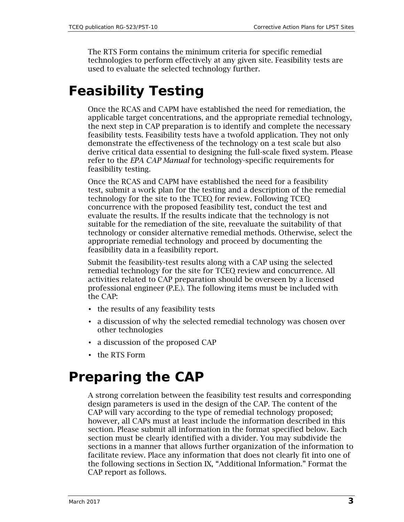The RTS Form contains the minimum criteria for specific remedial technologies to perform effectively at any given site. Feasibility tests are used to evaluate the selected technology further.

### **Feasibility Testing**

Once the RCAS and CAPM have established the need for remediation, the applicable target concentrations, and the appropriate remedial technology, the next step in CAP preparation is to identify and complete the necessary feasibility tests. Feasibility tests have a twofold application. They not only demonstrate the effectiveness of the technology on a test scale but also derive critical data essential to designing the full-scale fixed system. Please refer to the *EPA CAP Manual* for technology-specific requirements for feasibility testing.

Once the RCAS and CAPM have established the need for a feasibility test, submit a work plan for the testing and a description of the remedial technology for the site to the TCEQ for review. Following TCEQ concurrence with the proposed feasibility test, conduct the test and evaluate the results. If the results indicate that the technology is not suitable for the remediation of the site, reevaluate the suitability of that technology or consider alternative remedial methods. Otherwise, select the appropriate remedial technology and proceed by documenting the feasibility data in a feasibility report.

Submit the feasibility-test results along with a CAP using the selected remedial technology for the site for TCEQ review and concurrence. All activities related to CAP preparation should be overseen by a licensed professional engineer (P.E.). The following items must be included with the CAP:

- the results of any feasibility tests
- a discussion of why the selected remedial technology was chosen over other technologies
- a discussion of the proposed CAP
- the RTS Form

### **Preparing the CAP**

A strong correlation between the feasibility test results and corresponding design parameters is used in the design of the CAP. The content of the CAP will vary according to the type of remedial technology proposed; however, all CAPs must at least include the information described in this section. Please submit all information in the format specified below. Each section must be clearly identified with a divider. You may subdivide the sections in a manner that allows further organization of the information to facilitate review. Place any information that does not clearly fit into one of the following sections in Section IX, "Additional Information." Format the CAP report as follows.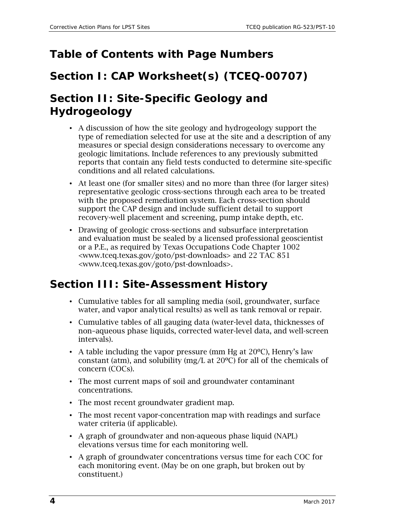#### **Table of Contents with Page Numbers**

#### **Section I: CAP Worksheet(s) (TCEQ-00707)**

### **Section II: Site-Specific Geology and Hydrogeology**

- A discussion of how the site geology and hydrogeology support the type of remediation selected for use at the site and a description of any measures or special design considerations necessary to overcome any geologic limitations. Include references to any previously submitted reports that contain any field tests conducted to determine site-specific conditions and all related calculations.
- At least one (for smaller sites) and no more than three (for larger sites) representative geologic cross-sections through each area to be treated with the proposed remediation system. Each cross-section should support the CAP design and include sufficient detail to support recovery-well placement and screening, pump intake depth, etc.
- Drawing of geologic cross-sections and subsurface interpretation and evaluation must be sealed by a licensed professional geoscientist or a P.E., as required by Texas Occupations Code Chapter 1002 [<www.tceq.texas.gov/goto/pst-downloads>](http://www.statutes.legis.state.tx.us/docs/OC/htm/OC.1002.htm) and 22 TAC 851 [<www.tceq.texas.gov/goto/pst-downloads>.](http://texreg.sos.state.tx.us/public/readtac$ext.ViewTAC?tac_view=4&ti=22&pt=39&ch=851)

### **Section III: Site-Assessment History**

- Cumulative tables for all sampling media (soil, groundwater, surface water, and vapor analytical results) as well as tank removal or repair.
- Cumulative tables of all gauging data (water-level data, thicknesses of non–aqueous phase liquids, corrected water-level data, and well-screen intervals).
- A table including the vapor pressure (mm Hg at  $20^{\circ}$ C), Henry's law constant (atm), and solubility (mg/L at 20ºC) for all of the chemicals of concern (COCs).
- The most current maps of soil and groundwater contaminant concentrations.
- The most recent groundwater gradient map.
- The most recent vapor-concentration map with readings and surface water criteria (if applicable).
- A graph of groundwater and non-aqueous phase liquid (NAPL) elevations versus time for each monitoring well.
- A graph of groundwater concentrations versus time for each COC for each monitoring event. (May be on one graph, but broken out by constituent.)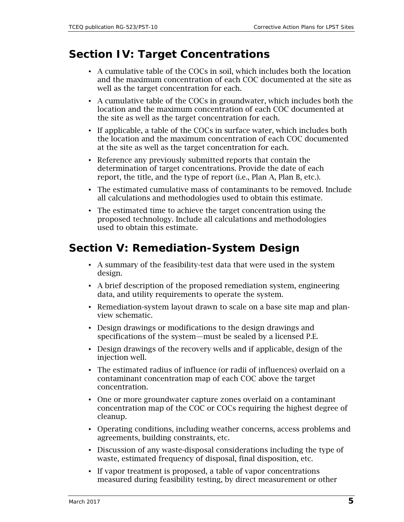#### **Section IV: Target Concentrations**

- A cumulative table of the COCs in soil, which includes both the location and the maximum concentration of each COC documented at the site as well as the target concentration for each.
- A cumulative table of the COCs in groundwater, which includes both the location and the maximum concentration of each COC documented at the site as well as the target concentration for each.
- If applicable, a table of the COCs in surface water, which includes both the location and the maximum concentration of each COC documented at the site as well as the target concentration for each.
- Reference any previously submitted reports that contain the determination of target concentrations. Provide the date of each report, the title, and the type of report (i.e., Plan A, Plan B, etc.).
- The estimated cumulative mass of contaminants to be removed. Include all calculations and methodologies used to obtain this estimate.
- The estimated time to achieve the target concentration using the proposed technology. Include all calculations and methodologies used to obtain this estimate.

#### **Section V: Remediation-System Design**

- A summary of the feasibility-test data that were used in the system design.
- A brief description of the proposed remediation system, engineering data, and utility requirements to operate the system.
- Remediation-system layout drawn to scale on a base site map and planview schematic.
- Design drawings or modifications to the design drawings and specifications of the system—must be sealed by a licensed P.E.
- Design drawings of the recovery wells and if applicable, design of the injection well.
- The estimated radius of influence (or radii of influences) overlaid on a contaminant concentration map of each COC above the target concentration.
- One or more groundwater capture zones overlaid on a contaminant concentration map of the COC or COCs requiring the highest degree of cleanup.
- Operating conditions, including weather concerns, access problems and agreements, building constraints, etc.
- Discussion of any waste-disposal considerations including the type of waste, estimated frequency of disposal, final disposition, etc.
- If vapor treatment is proposed, a table of vapor concentrations measured during feasibility testing, by direct measurement or other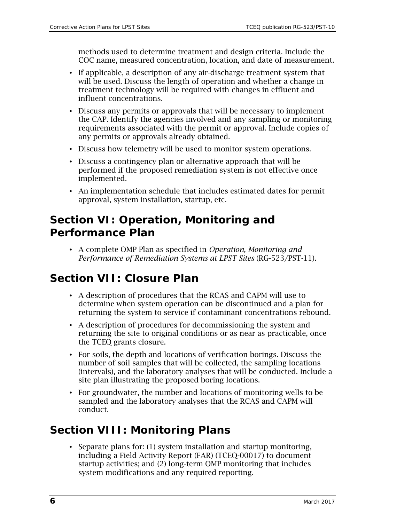methods used to determine treatment and design criteria. Include the COC name, measured concentration, location, and date of measurement.

- If applicable, a description of any air-discharge treatment system that will be used. Discuss the length of operation and whether a change in treatment technology will be required with changes in effluent and influent concentrations.
- Discuss any permits or approvals that will be necessary to implement the CAP. Identify the agencies involved and any sampling or monitoring requirements associated with the permit or approval. Include copies of any permits or approvals already obtained.
- Discuss how telemetry will be used to monitor system operations.
- Discuss a contingency plan or alternative approach that will be performed if the proposed remediation system is not effective once implemented.
- An implementation schedule that includes estimated dates for permit approval, system installation, startup, etc.

#### **Section VI: Operation, Monitoring and Performance Plan**

• A complete OMP Plan as specified in *Operation, Monitoring and Performance of Remediation Systems at LPST Sites* (RG-523/PST-11).

#### **Section VII: Closure Plan**

- A description of procedures that the RCAS and CAPM will use to determine when system operation can be discontinued and a plan for returning the system to service if contaminant concentrations rebound.
- A description of procedures for decommissioning the system and returning the site to original conditions or as near as practicable, once the TCEQ grants closure.
- For soils, the depth and locations of verification borings. Discuss the number of soil samples that will be collected, the sampling locations (intervals), and the laboratory analyses that will be conducted. Include a site plan illustrating the proposed boring locations.
- For groundwater, the number and locations of monitoring wells to be sampled and the laboratory analyses that the RCAS and CAPM will conduct.

#### **Section VIII: Monitoring Plans**

• Separate plans for: (1) system installation and startup monitoring, including a Field Activity Report (FAR) (TCEQ-00017) to document startup activities; and (2) long-term OMP monitoring that includes system modifications and any required reporting.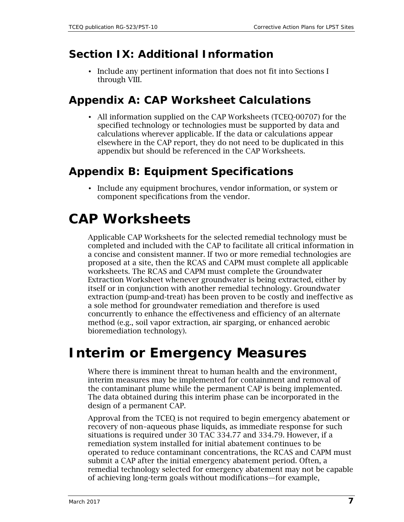#### **Section IX: Additional Information**

• Include any pertinent information that does not fit into Sections I through VIII.

#### **Appendix A: CAP Worksheet Calculations**

• All information supplied on the CAP Worksheets (TCEQ-00707) for the specified technology or technologies must be supported by data and calculations wherever applicable. If the data or calculations appear elsewhere in the CAP report, they do not need to be duplicated in this appendix but should be referenced in the CAP Worksheets.

### **Appendix B: Equipment Specifications**

• Include any equipment brochures, vendor information, or system or component specifications from the vendor.

## **CAP Worksheets**

Applicable CAP Worksheets for the selected remedial technology must be completed and included with the CAP to facilitate all critical information in a concise and consistent manner. If two or more remedial technologies are proposed at a site, then the RCAS and CAPM must complete all applicable worksheets. The RCAS and CAPM must complete the Groundwater Extraction Worksheet whenever groundwater is being extracted, either by itself or in conjunction with another remedial technology. Groundwater extraction (pump-and-treat) has been proven to be costly and ineffective as a sole method for groundwater remediation and therefore is used concurrently to enhance the effectiveness and efficiency of an alternate method (e.g., soil vapor extraction, air sparging, or enhanced aerobic bioremediation technology).

### **Interim or Emergency Measures**

Where there is imminent threat to human health and the environment, interim measures may be implemented for containment and removal of the contaminant plume while the permanent CAP is being implemented. The data obtained during this interim phase can be incorporated in the design of a permanent CAP.

Approval from the TCEQ is not required to begin emergency abatement or recovery of non–aqueous phase liquids, as immediate response for such situations is required under [30 TAC 334.77](http://texreg.sos.state.tx.us/public/readtac$ext.TacPage?sl=R&app=9&p_dir=&p_rloc=&p_tloc=&p_ploc=&pg=1&p_tac=&ti=30&pt=1&ch=334&rl=77) and [334.79.](http://texreg.sos.state.tx.us/public/readtac$ext.TacPage?sl=R&app=9&p_dir=&p_rloc=&p_tloc=&p_ploc=&pg=1&p_tac=&ti=30&pt=1&ch=334&rl=79) However, if a remediation system installed for initial abatement continues to be operated to reduce contaminant concentrations, the RCAS and CAPM must submit a CAP after the initial emergency abatement period. Often, a remedial technology selected for emergency abatement may not be capable of achieving long-term goals without modifications—for example,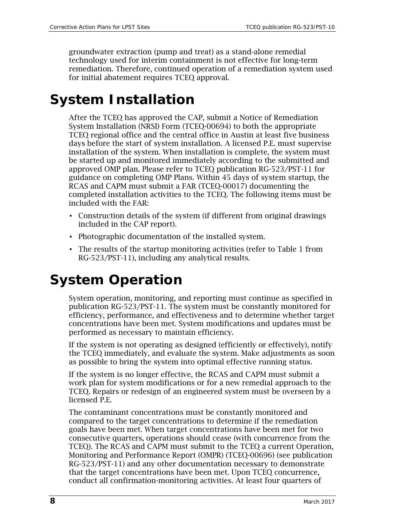groundwater extraction (pump and treat) as a stand-alone remedial technology used for interim containment is not effective for long-term remediation. Therefore, continued operation of a remediation system used for initial abatement requires TCEQ approval.

### **System Installation**

After the TCEQ has approved the CAP, submit a Notice of Remediation System Installation (NRSI) Form (TCEQ-00694) to both the appropriate TCEQ regional office and the central office in Austin at least five business days before the start of system installation. A licensed P.E. must supervise installation of the system. When installation is complete, the system must be started up and monitored immediately according to the submitted and approved OMP plan. Please refer to TCEQ publication RG-523/PST-11 for guidance on completing OMP Plans. Within 45 days of system startup, the RCAS and CAPM must submit a FAR (TCEQ-00017) documenting the completed installation activities to the TCEQ. The following items must be included with the FAR:

- Construction details of the system (if different from original drawings included in the CAP report).
- Photographic documentation of the installed system.
- The results of the startup monitoring activities (refer to Table 1 from RG-523/PST-11), including any analytical results.

## **System Operation**

System operation, monitoring, and reporting must continue as specified in publication RG-523/PST-11. The system must be constantly monitored for efficiency, performance, and effectiveness and to determine whether target concentrations have been met. System modifications and updates must be performed as necessary to maintain efficiency.

If the system is not operating as designed (efficiently or effectively), notify the TCEQ immediately, and evaluate the system. Make adjustments as soon as possible to bring the system into optimal effective running status.

If the system is no longer effective, the RCAS and CAPM must submit a work plan for system modifications or for a new remedial approach to the TCEQ. Repairs or redesign of an engineered system must be overseen by a licensed P.E.

The contaminant concentrations must be constantly monitored and compared to the target concentrations to determine if the remediation goals have been met. When target concentrations have been met for two consecutive quarters, operations should cease (with concurrence from the TCEQ). The RCAS and CAPM must submit to the TCEQ a current Operation, Monitoring and Performance Report (OMPR) (TCEQ-00696) (see publication RG-523/PST-11) and any other documentation necessary to demonstrate that the target concentrations have been met. Upon TCEQ concurrence, conduct all confirmation-monitoring activities. At least four quarters of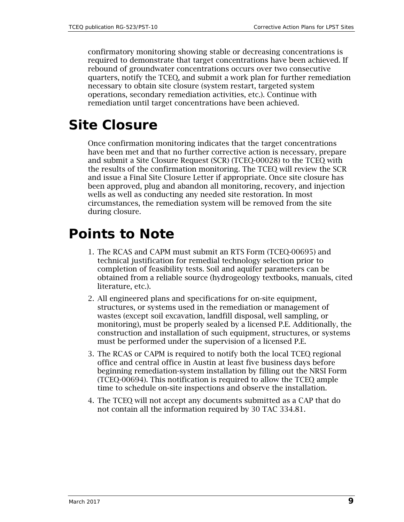confirmatory monitoring showing stable or decreasing concentrations is required to demonstrate that target concentrations have been achieved. If rebound of groundwater concentrations occurs over two consecutive quarters, notify the TCEQ, and submit a work plan for further remediation necessary to obtain site closure (system restart, targeted system operations, secondary remediation activities, etc.). Continue with remediation until target concentrations have been achieved.

### **Site Closure**

Once confirmation monitoring indicates that the target concentrations have been met and that no further corrective action is necessary, prepare and submit a Site Closure Request (SCR) (TCEQ-00028) to the TCEQ with the results of the confirmation monitoring. The TCEQ will review the SCR and issue a Final Site Closure Letter if appropriate. Once site closure has been approved, plug and abandon all monitoring, recovery, and injection wells as well as conducting any needed site restoration. In most circumstances, the remediation system will be removed from the site during closure.

### **Points to Note**

- 1. The RCAS and CAPM must submit an RTS Form (TCEQ-00695) and technical justification for remedial technology selection prior to completion of feasibility tests. Soil and aquifer parameters can be obtained from a reliable source (hydrogeology textbooks, manuals, cited literature, etc.).
- 2. All engineered plans and specifications for on-site equipment, structures, or systems used in the remediation or management of wastes (except soil excavation, landfill disposal, well sampling, or monitoring), must be properly sealed by a licensed P.E. Additionally, the construction and installation of such equipment, structures, or systems must be performed under the supervision of a licensed P.E.
- 3. The RCAS or CAPM is required to notify both the local TCEQ regional office and central office in Austin at least five business days before beginning remediation-system installation by filling out the NRSI Form (TCEQ-00694). This notification is required to allow the TCEQ ample time to schedule on-site inspections and observe the installation.
- 4. The TCEQ will not accept any documents submitted as a CAP that do not contain all the information required by [30 TAC 334.81.](http://texreg.sos.state.tx.us/public/readtac$ext.TacPage?sl=R&app=9&p_dir=&p_rloc=&p_tloc=&p_ploc=&pg=1&p_tac=&ti=30&pt=1&ch=334&rl=81)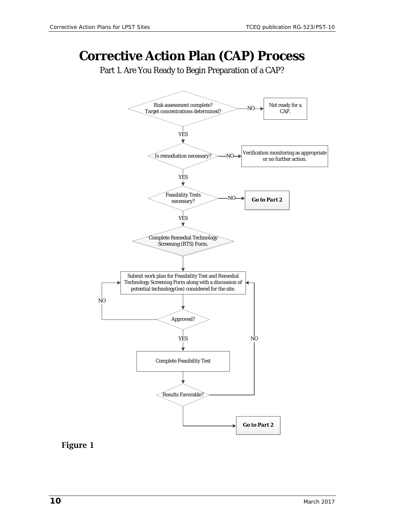### **Corrective Action Plan (CAP) Process**

Part 1. Are You Ready to Begin Preparation of a CAP?



#### Figure 1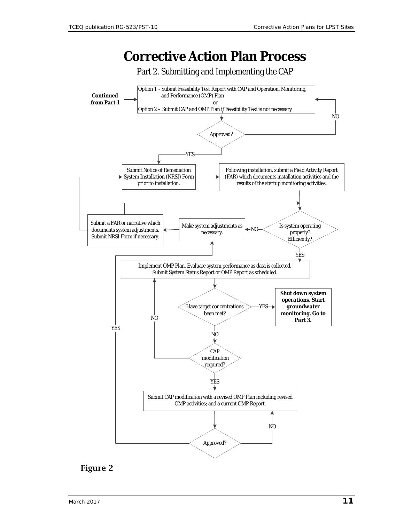### **Corrective Action Plan Process**





#### Figure 2